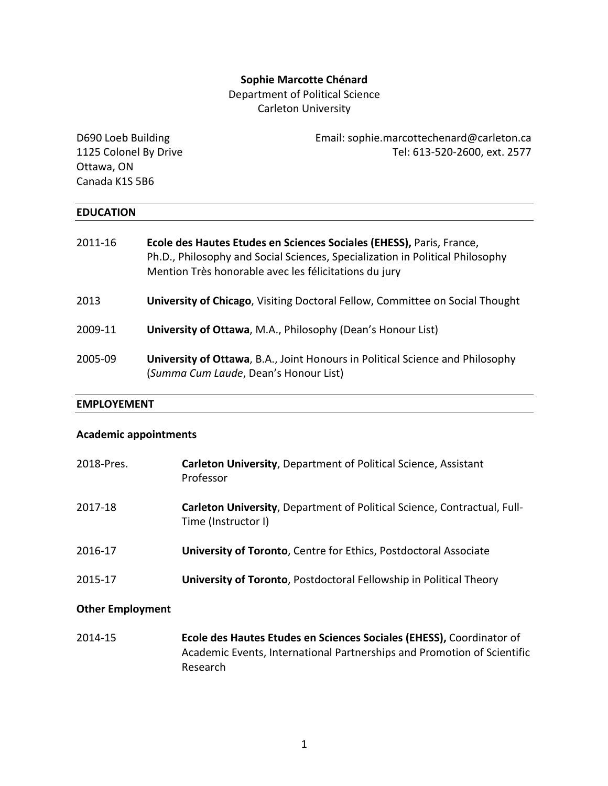## **Sophie Marcotte Chénard**

Department of Political Science

Carleton University

| D690 Loeb Building    | Email: sophie.marcottechenard@carleton.ca |
|-----------------------|-------------------------------------------|
| 1125 Colonel By Drive | Tel: 613-520-2600, ext. 2577              |
| Ottawa, ON            |                                           |
| Canada K1S 5B6        |                                           |
|                       |                                           |
| <b>EDUCATION</b>      |                                           |

| 2011-16 | Ecole des Hautes Etudes en Sciences Sociales (EHESS), Paris, France,<br>Ph.D., Philosophy and Social Sciences, Specialization in Political Philosophy<br>Mention Très honorable avec les félicitations du jury |
|---------|----------------------------------------------------------------------------------------------------------------------------------------------------------------------------------------------------------------|
| 2013    | University of Chicago, Visiting Doctoral Fellow, Committee on Social Thought                                                                                                                                   |
| 2009-11 | University of Ottawa, M.A., Philosophy (Dean's Honour List)                                                                                                                                                    |
| 2005-09 | <b>University of Ottawa, B.A., Joint Honours in Political Science and Philosophy</b><br>(Summa Cum Laude, Dean's Honour List)                                                                                  |

#### **EMPLOYEMENT**

## **Academic appointments**

| 2018-Pres. | <b>Carleton University, Department of Political Science, Assistant</b><br>Professor                    |
|------------|--------------------------------------------------------------------------------------------------------|
| 2017-18    | <b>Carleton University, Department of Political Science, Contractual, Full-</b><br>Time (Instructor I) |
| 2016-17    | University of Toronto, Centre for Ethics, Postdoctoral Associate                                       |
| 2015-17    | University of Toronto, Postdoctoral Fellowship in Political Theory                                     |

## **Other Employment**

2014-15 **Ecole des Hautes Etudes en Sciences Sociales (EHESS),** Coordinator of Academic Events, International Partnerships and Promotion of Scientific Research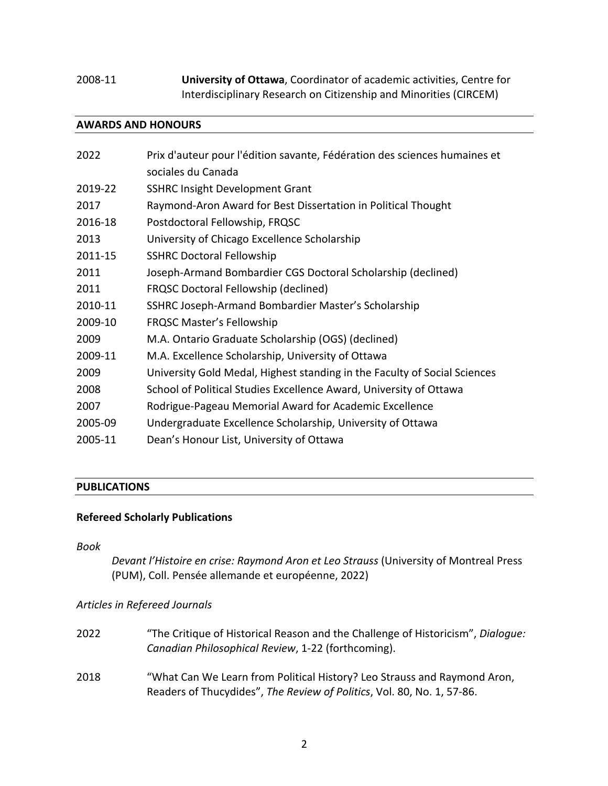# 2008-11 **University of Ottawa**, Coordinator of academic activities, Centre for Interdisciplinary Research on Citizenship and Minorities (CIRCEM)

## **AWARDS AND HONOURS**

| 2022    | Prix d'auteur pour l'édition savante, Fédération des sciences humaines et<br>sociales du Canada |
|---------|-------------------------------------------------------------------------------------------------|
| 2019-22 | <b>SSHRC Insight Development Grant</b>                                                          |
| 2017    | Raymond-Aron Award for Best Dissertation in Political Thought                                   |
| 2016-18 | Postdoctoral Fellowship, FRQSC                                                                  |
| 2013    | University of Chicago Excellence Scholarship                                                    |
| 2011-15 | <b>SSHRC Doctoral Fellowship</b>                                                                |
| 2011    | Joseph-Armand Bombardier CGS Doctoral Scholarship (declined)                                    |
| 2011    | <b>FRQSC Doctoral Fellowship (declined)</b>                                                     |
| 2010-11 | SSHRC Joseph-Armand Bombardier Master's Scholarship                                             |
| 2009-10 | <b>FRQSC Master's Fellowship</b>                                                                |
| 2009    | M.A. Ontario Graduate Scholarship (OGS) (declined)                                              |
| 2009-11 | M.A. Excellence Scholarship, University of Ottawa                                               |
| 2009    | University Gold Medal, Highest standing in the Faculty of Social Sciences                       |
| 2008    | School of Political Studies Excellence Award, University of Ottawa                              |
| 2007    | Rodrigue-Pageau Memorial Award for Academic Excellence                                          |
| 2005-09 | Undergraduate Excellence Scholarship, University of Ottawa                                      |
| 2005-11 | Dean's Honour List, University of Ottawa                                                        |
|         |                                                                                                 |

# **PUBLICATIONS**

## **Refereed Scholarly Publications**

*Book*

*Devant l'Histoire en crise: Raymond Aron et Leo Strauss* (University of Montreal Press (PUM), Coll. Pensée allemande et européenne, 2022)

## *Articles in Refereed Journals*

| 2022 | "The Critique of Historical Reason and the Challenge of Historicism", Dialoque:<br>Canadian Philosophical Review, 1-22 (forthcoming).              |
|------|----------------------------------------------------------------------------------------------------------------------------------------------------|
| 2018 | "What Can We Learn from Political History? Leo Strauss and Raymond Aron,<br>Readers of Thucydides", The Review of Politics, Vol. 80, No. 1, 57-86. |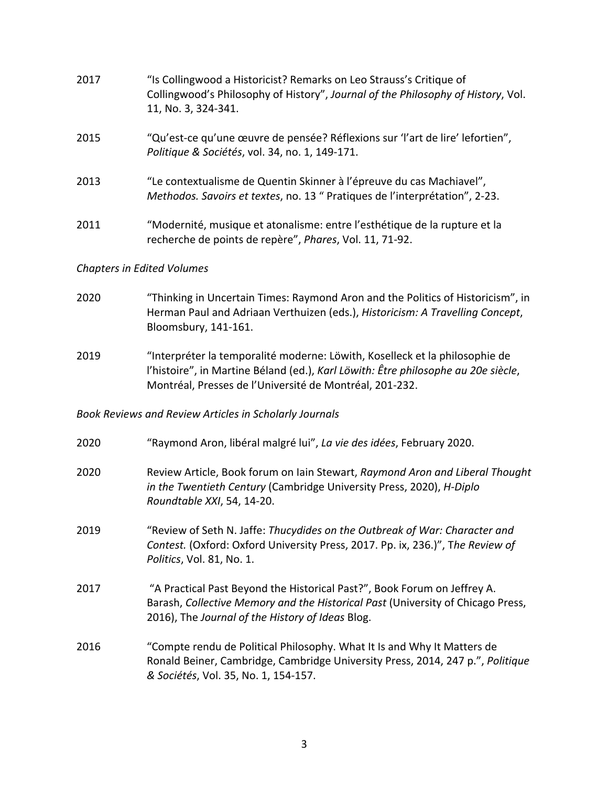| 2017 | "Is Collingwood a Historicist? Remarks on Leo Strauss's Critique of<br>Collingwood's Philosophy of History", Journal of the Philosophy of History, Vol.<br>11, No. 3, 324-341. |
|------|--------------------------------------------------------------------------------------------------------------------------------------------------------------------------------|
| 2015 | "Qu'est-ce qu'une œuvre de pensée? Réflexions sur 'l'art de lire' lefortien",<br>Politique & Sociétés, vol. 34, no. 1, 149-171.                                                |
| 2013 | "Le contextualisme de Quentin Skinner à l'épreuve du cas Machiavel",<br>Methodos. Savoirs et textes, no. 13 " Pratiques de l'interprétation", 2-23.                            |
| 2011 | "Modernité, musique et atonalisme: entre l'esthétique de la rupture et la<br>recherche de points de repère", Phares, Vol. 11, 71-92.                                           |

## *Chapters in Edited Volumes*

- 2020 "Thinking in Uncertain Times: Raymond Aron and the Politics of Historicism", in Herman Paul and Adriaan Verthuizen (eds.), *Historicism: A Travelling Concept*, Bloomsbury, 141-161.
- 2019 "Interpréter la temporalité moderne: Löwith, Koselleck et la philosophie de l'histoire", in Martine Béland (ed.), *Karl Löwith: Être philosophe au 20e siècle*, Montréal, Presses de l'Université de Montréal, 201-232.

## *Book Reviews and Review Articles in Scholarly Journals*

- 2020 "Raymond Aron, libéral malgré lui", *La vie des idées*, February 2020.
- 2020 Review Article, Book forum on Iain Stewart, *Raymond Aron and Liberal Thought in the Twentieth Century* (Cambridge University Press, 2020), *H-Diplo Roundtable XXI*, 54, 14-20.
- 2019 "Review of Seth N. Jaffe: *Thucydides on the Outbreak of War: Character and Contest.* (Oxford: Oxford University Press, 2017. Pp. ix, 236.)", T*he Review of Politics*, Vol. 81, No. 1.
- 2017 "A Practical Past Beyond the Historical Past?", Book Forum on Jeffrey A. Barash, *Collective Memory and the Historical Past* (University of Chicago Press, 2016), The *Journal of the History of Ideas* Blog.
- 2016 "Compte rendu de Political Philosophy. What It Is and Why It Matters de Ronald Beiner, Cambridge, Cambridge University Press, 2014, 247 p.", *Politique & Sociétés*, Vol. 35, No. 1, 154-157.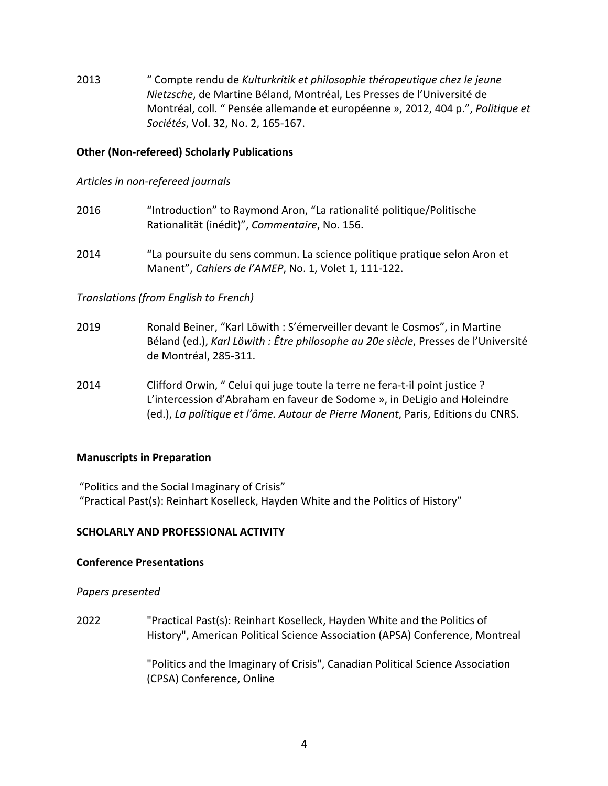2013 " Compte rendu de *Kulturkritik et philosophie thérapeutique chez le jeune Nietzsche*, de Martine Béland, Montréal, Les Presses de l'Université de Montréal, coll. " Pensée allemande et européenne », 2012, 404 p.", *Politique et Sociétés*, Vol. 32, No. 2, 165-167.

## **Other (Non-refereed) Scholarly Publications**

## *Articles in non-refereed journals*

- 2016 "Introduction" to Raymond Aron, "La rationalité politique/Politische Rationalität (inédit)", *Commentaire*, No. 156.
- 2014 "La poursuite du sens commun. La science politique pratique selon Aron et Manent", *Cahiers de l'AMEP*, No. 1, Volet 1, 111-122.

## *Translations (from English to French)*

- 2019 Ronald Beiner, "Karl Löwith : S'émerveiller devant le Cosmos", in Martine Béland (ed.), *Karl Löwith : Être philosophe au 20e siècle*, Presses de l'Université de Montréal, 285-311.
- 2014 Clifford Orwin, " Celui qui juge toute la terre ne fera-t-il point justice ? L'intercession d'Abraham en faveur de Sodome », in DeLigio and Holeindre (ed.), *La politique et l'âme. Autour de Pierre Manent*, Paris, Editions du CNRS.

## **Manuscripts in Preparation**

"Politics and the Social Imaginary of Crisis"

"Practical Past(s): Reinhart Koselleck, Hayden White and the Politics of History"

## **SCHOLARLY AND PROFESSIONAL ACTIVITY**

#### **Conference Presentations**

*Papers presented*

2022 "Practical Past(s): Reinhart Koselleck, Hayden White and the Politics of History", American Political Science Association (APSA) Conference, Montreal

> "Politics and the Imaginary of Crisis", Canadian Political Science Association (CPSA) Conference, Online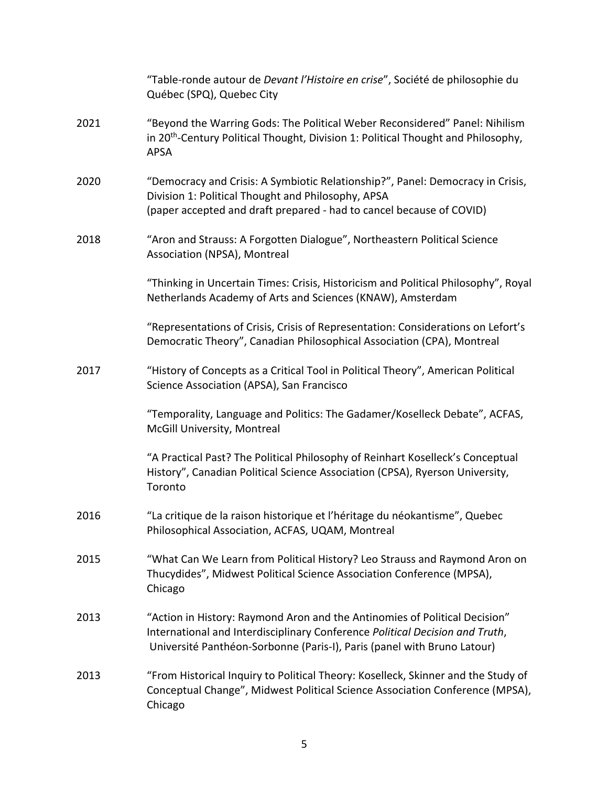|      | "Table-ronde autour de Devant l'Histoire en crise", Société de philosophie du<br>Québec (SPQ), Quebec City                                                                                                                            |
|------|---------------------------------------------------------------------------------------------------------------------------------------------------------------------------------------------------------------------------------------|
| 2021 | "Beyond the Warring Gods: The Political Weber Reconsidered" Panel: Nihilism<br>in 20 <sup>th</sup> -Century Political Thought, Division 1: Political Thought and Philosophy,<br><b>APSA</b>                                           |
| 2020 | "Democracy and Crisis: A Symbiotic Relationship?", Panel: Democracy in Crisis,<br>Division 1: Political Thought and Philosophy, APSA<br>(paper accepted and draft prepared - had to cancel because of COVID)                          |
| 2018 | "Aron and Strauss: A Forgotten Dialogue", Northeastern Political Science<br>Association (NPSA), Montreal                                                                                                                              |
|      | "Thinking in Uncertain Times: Crisis, Historicism and Political Philosophy", Royal<br>Netherlands Academy of Arts and Sciences (KNAW), Amsterdam                                                                                      |
|      | "Representations of Crisis, Crisis of Representation: Considerations on Lefort's<br>Democratic Theory", Canadian Philosophical Association (CPA), Montreal                                                                            |
| 2017 | "History of Concepts as a Critical Tool in Political Theory", American Political<br>Science Association (APSA), San Francisco                                                                                                         |
|      | "Temporality, Language and Politics: The Gadamer/Koselleck Debate", ACFAS,<br>McGill University, Montreal                                                                                                                             |
|      | "A Practical Past? The Political Philosophy of Reinhart Koselleck's Conceptual<br>History", Canadian Political Science Association (CPSA), Ryerson University,<br>Toronto                                                             |
| 2016 | "La critique de la raison historique et l'héritage du néokantisme", Quebec<br>Philosophical Association, ACFAS, UQAM, Montreal                                                                                                        |
| 2015 | "What Can We Learn from Political History? Leo Strauss and Raymond Aron on<br>Thucydides", Midwest Political Science Association Conference (MPSA),<br>Chicago                                                                        |
| 2013 | "Action in History: Raymond Aron and the Antinomies of Political Decision"<br>International and Interdisciplinary Conference Political Decision and Truth,<br>Université Panthéon-Sorbonne (Paris-I), Paris (panel with Bruno Latour) |
| 2013 | "From Historical Inquiry to Political Theory: Koselleck, Skinner and the Study of<br>Conceptual Change", Midwest Political Science Association Conference (MPSA),<br>Chicago                                                          |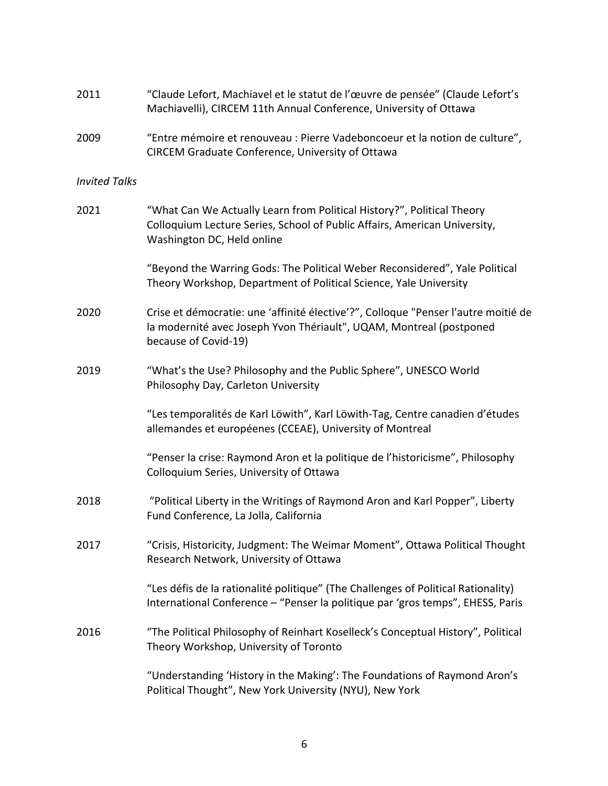| 2011                 | "Claude Lefort, Machiavel et le statut de l'œuvre de pensée" (Claude Lefort's<br>Machiavelli), CIRCEM 11th Annual Conference, University of Ottawa                                |
|----------------------|-----------------------------------------------------------------------------------------------------------------------------------------------------------------------------------|
| 2009                 | "Entre mémoire et renouveau : Pierre Vadeboncoeur et la notion de culture",<br>CIRCEM Graduate Conference, University of Ottawa                                                   |
| <b>Invited Talks</b> |                                                                                                                                                                                   |
| 2021                 | "What Can We Actually Learn from Political History?", Political Theory<br>Colloquium Lecture Series, School of Public Affairs, American University,<br>Washington DC, Held online |
|                      | "Beyond the Warring Gods: The Political Weber Reconsidered", Yale Political<br>Theory Workshop, Department of Political Science, Yale University                                  |
| 2020                 | Crise et démocratie: une 'affinité élective'?", Colloque "Penser l'autre moitié de<br>la modernité avec Joseph Yvon Thériault", UQAM, Montreal (postponed<br>because of Covid-19) |
| 2019                 | "What's the Use? Philosophy and the Public Sphere", UNESCO World<br>Philosophy Day, Carleton University                                                                           |
|                      | "Les temporalités de Karl Löwith", Karl Löwith-Tag, Centre canadien d'études<br>allemandes et européenes (CCEAE), University of Montreal                                          |
|                      | "Penser la crise: Raymond Aron et la politique de l'historicisme", Philosophy<br>Colloquium Series, University of Ottawa                                                          |
| 2018                 | "Political Liberty in the Writings of Raymond Aron and Karl Popper", Liberty<br>Fund Conference, La Jolla, California                                                             |
| 2017                 | "Crisis, Historicity, Judgment: The Weimar Moment", Ottawa Political Thought<br>Research Network, University of Ottawa                                                            |
|                      | "Les défis de la rationalité politique" (The Challenges of Political Rationality)<br>International Conference - "Penser la politique par 'gros temps", EHESS, Paris               |
| 2016                 | "The Political Philosophy of Reinhart Koselleck's Conceptual History", Political<br>Theory Workshop, University of Toronto                                                        |
|                      | "Understanding 'History in the Making': The Foundations of Raymond Aron's<br>Political Thought", New York University (NYU), New York                                              |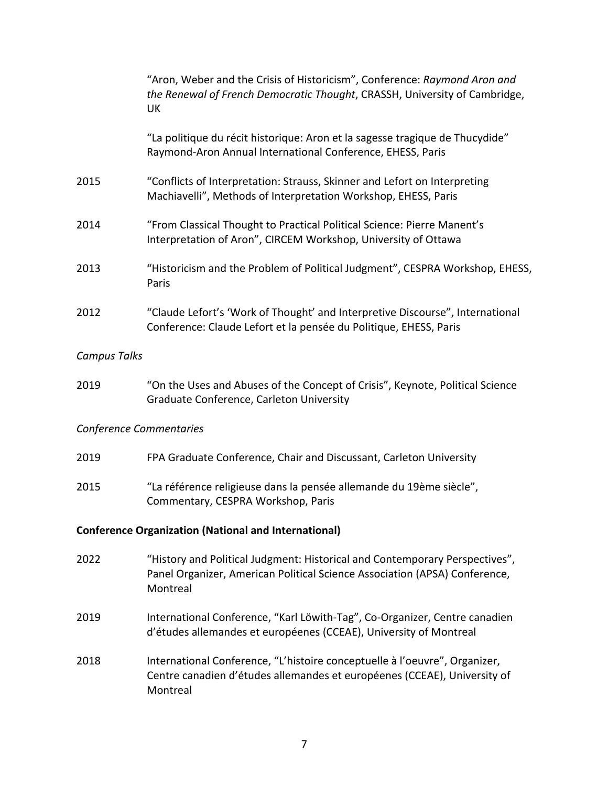|                         | "Aron, Weber and the Crisis of Historicism", Conference: Raymond Aron and<br>the Renewal of French Democratic Thought, CRASSH, University of Cambridge,<br>UK         |
|-------------------------|-----------------------------------------------------------------------------------------------------------------------------------------------------------------------|
|                         | "La politique du récit historique: Aron et la sagesse tragique de Thucydide"<br>Raymond-Aron Annual International Conference, EHESS, Paris                            |
| 2015                    | "Conflicts of Interpretation: Strauss, Skinner and Lefort on Interpreting<br>Machiavelli", Methods of Interpretation Workshop, EHESS, Paris                           |
| 2014                    | "From Classical Thought to Practical Political Science: Pierre Manent's<br>Interpretation of Aron", CIRCEM Workshop, University of Ottawa                             |
| 2013                    | "Historicism and the Problem of Political Judgment", CESPRA Workshop, EHESS,<br>Paris                                                                                 |
| 2012                    | "Claude Lefort's 'Work of Thought' and Interpretive Discourse", International<br>Conference: Claude Lefort et la pensée du Politique, EHESS, Paris                    |
| <b>Campus Talks</b>     |                                                                                                                                                                       |
| 2019                    | "On the Uses and Abuses of the Concept of Crisis", Keynote, Political Science<br>Graduate Conference, Carleton University                                             |
| Conference Commentaries |                                                                                                                                                                       |
| 2019                    | FPA Graduate Conference, Chair and Discussant, Carleton University                                                                                                    |
| 2015                    | "La référence religieuse dans la pensée allemande du 19ème siècle",<br>Commentary, CESPRA Workshop, Paris                                                             |
|                         | <b>Conference Organization (National and International)</b>                                                                                                           |
| 2022                    | "History and Political Judgment: Historical and Contemporary Perspectives",<br>Panel Organizer, American Political Science Association (APSA) Conference,<br>Montreal |
| 2019                    | International Conference, "Karl Löwith-Tag", Co-Organizer, Centre canadien<br>d'études allemandes et européenes (CCEAE), University of Montreal                       |
| 2018                    | International Conference, "L'histoire conceptuelle à l'oeuvre", Organizer,<br>Centre canadien d'études allemandes et européenes (CCEAE), University of<br>Montreal    |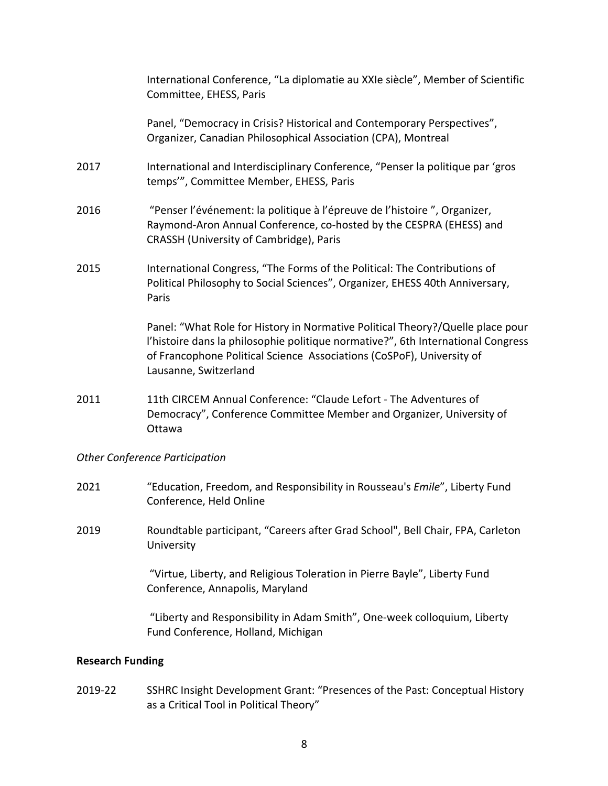International Conference, "La diplomatie au XXIe siècle", Member of Scientific Committee, EHESS, Paris Panel, "Democracy in Crisis? Historical and Contemporary Perspectives", Organizer, Canadian Philosophical Association (CPA), Montreal 2017 International and Interdisciplinary Conference, "Penser la politique par 'gros temps'", Committee Member, EHESS, Paris 2016 "Penser l'événement: la politique à l'épreuve de l'histoire ", Organizer, Raymond-Aron Annual Conference, co-hosted by the CESPRA (EHESS) and CRASSH (University of Cambridge), Paris 2015 International Congress, "The Forms of the Political: The Contributions of Political Philosophy to Social Sciences", Organizer, EHESS 40th Anniversary, Paris Panel: "What Role for History in Normative Political Theory?/Quelle place pour l'histoire dans la philosophie politique normative?", 6th International Congress of Francophone Political Science Associations (CoSPoF), University of Lausanne, Switzerland 2011 11th CIRCEM Annual Conference: "Claude Lefort - The Adventures of Democracy", Conference Committee Member and Organizer, University of Ottawa *Other Conference Participation*

- 2021 "Education, Freedom, and Responsibility in Rousseau's *Emile*", Liberty Fund Conference, Held Online
- 2019 Roundtable participant, "Careers after Grad School", Bell Chair, FPA, Carleton University

"Virtue, Liberty, and Religious Toleration in Pierre Bayle", Liberty Fund Conference, Annapolis, Maryland

"Liberty and Responsibility in Adam Smith", One-week colloquium, Liberty Fund Conference, Holland, Michigan

## **Research Funding**

2019-22 SSHRC Insight Development Grant: "Presences of the Past: Conceptual History as a Critical Tool in Political Theory"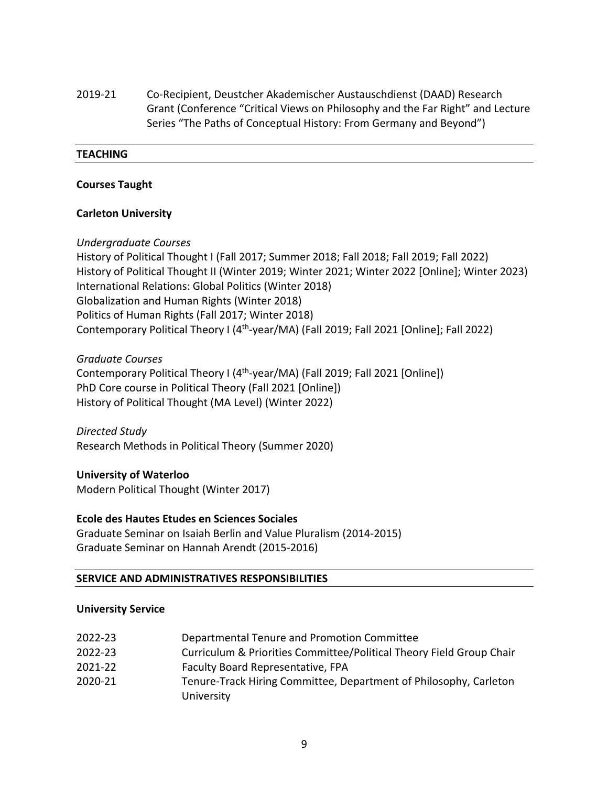2019-21 Co-Recipient, Deustcher Akademischer Austauschdienst (DAAD) Research Grant (Conference "Critical Views on Philosophy and the Far Right" and Lecture Series "The Paths of Conceptual History: From Germany and Beyond")

#### **TEACHING**

## **Courses Taught**

## **Carleton University**

## *Undergraduate Courses*

History of Political Thought I (Fall 2017; Summer 2018; Fall 2018; Fall 2019; Fall 2022) History of Political Thought II (Winter 2019; Winter 2021; Winter 2022 [Online]; Winter 2023) International Relations: Global Politics (Winter 2018) Globalization and Human Rights (Winter 2018) Politics of Human Rights (Fall 2017; Winter 2018) Contemporary Political Theory I (4<sup>th</sup>-year/MA) (Fall 2019; Fall 2021 [Online]; Fall 2022)

*Graduate Courses*

Contemporary Political Theory I (4<sup>th</sup>-year/MA) (Fall 2019; Fall 2021 [Online]) PhD Core course in Political Theory (Fall 2021 [Online]) History of Political Thought (MA Level) (Winter 2022)

*Directed Study* Research Methods in Political Theory (Summer 2020)

## **University of Waterloo**

Modern Political Thought (Winter 2017)

## **Ecole des Hautes Etudes en Sciences Sociales**

Graduate Seminar on Isaiah Berlin and Value Pluralism (2014-2015) Graduate Seminar on Hannah Arendt (2015-2016)

#### **SERVICE AND ADMINISTRATIVES RESPONSIBILITIES**

#### **University Service**

- 2022-23 Departmental Tenure and Promotion Committee
- 2022-23 Curriculum & Priorities Committee/Political Theory Field Group Chair
- 2021-22 Faculty Board Representative, FPA
- 2020-21 Tenure-Track Hiring Committee, Department of Philosophy, Carleton University